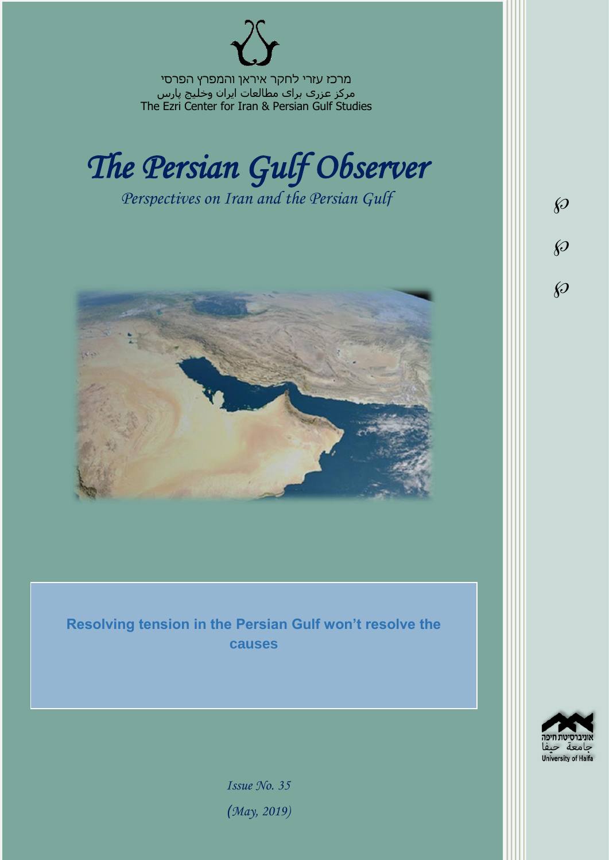מרכז עזרי לחקר איראן והמפרץ הפרסי مرکز عزری برای مطالعات ایران وخلیج پارس The Ezri Center for Iran & Persian Gulf Studies



*Perspectives on Iran and the Persian Gulf* 



**Resolving tension in the Persian Gulf won't resolve the causes**

> $d_{\nabla \Omega}$ University of Haifa

 $\wp$ 

 $\wp$ 

 $\wp$ 

*Issue No. 35 )May, 2019)*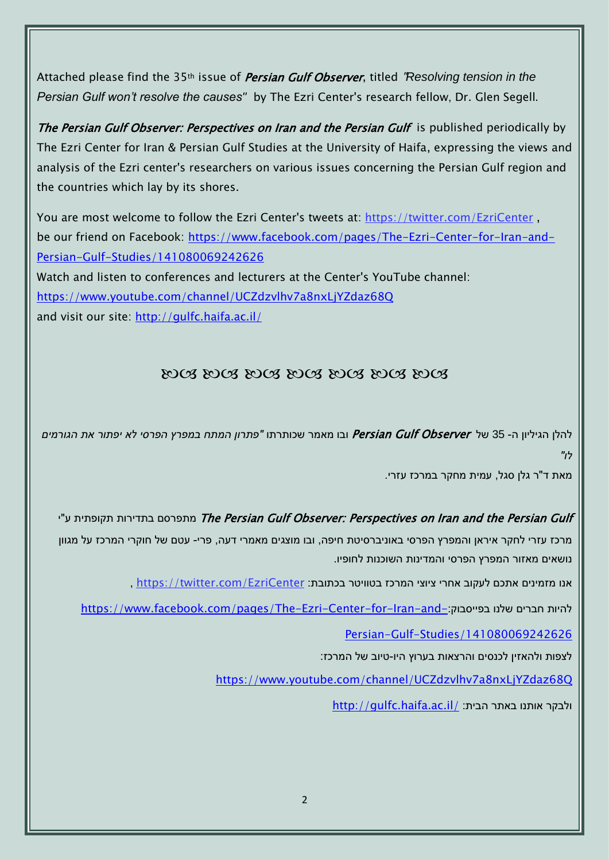Attached please find the 35th issue of Persian Gulf Observer, titled "*Resolving tension in the Persian Gulf won't resolve the causes"* by The Ezri Center's research fellow, Dr. Glen Segell*.*

The Persian Gulf Observer: Perspectives on Iran and the Persian Gulf is published periodically by The Ezri Center for Iran & Persian Gulf Studies at the University of Haifa, expressing the views and analysis of the Ezri center's researchers on various issues concerning the Persian Gulf region and the countries which lay by its shores.

You are most welcome to follow the Ezri Center's tweets at: <https://twitter.com/EzriCenter> , be our friend on Facebook: [https://www.facebook.com/pages/The-Ezri-Center-for-Iran-and-](https://www.facebook.com/pages/The-Ezri-Center-for-Iran-and-Persian-Gulf-Studies/141080069242626)[Persian-Gulf-Studies/141080069242626](https://www.facebook.com/pages/The-Ezri-Center-for-Iran-and-Persian-Gulf-Studies/141080069242626) Watch and listen to conferences and lecturers at the Center's YouTube channel:

<https://www.youtube.com/channel/UCZdzvlhv7a8nxLjYZdaz68Q>

and visit our site:<http://gulfc.haifa.ac.il/>

## DOS DOS DOS DOS DOS DOS DOS

להלן הגיליון ה- 35 של Observer Gulf Persian ובו מאמר שכותרתו *"פתרון המתח במפרץ הפרסי לא יפתור את הגורמים לו"*

מאת ד"ר גלן סגל, עמית מחקר במרכז עזרי.

יתפרסם בתדירות תקופתית ע"י The Persian Gulf Observer: Perspectives on Iran and the Persian Gulf מרכז עזרי לחקר איראן והמפרץ הפרסי באוניברסיטת חיפה, ובו מוצגים מאמרי דעה, פרי- עטם של חוקרי המרכז על מגוון נושאים מאזור המפרץ הפרסי והמדינות השוכנות לחופיו.

אנו מזמינים אתכם לעקוב אחרי ציוצי המרכז בטוויטר בכתובת: [EzriCenter/com.twitter://https](https://twitter.com/EzriCenter) ,

[https://www.facebook.com/pages/The-Ezri-Center-for-Iran-and-](https://www.facebook.com/pages/The-Ezri-Center-for-Iran-and-Persian-Gulf-Studies/141080069242626):כהיות חברים שלנו בפייסבוק:

[Persian-Gulf-Studies/141080069242626](https://www.facebook.com/pages/The-Ezri-Center-for-Iran-and-Persian-Gulf-Studies/141080069242626)

לצפות ולהאזין לכנסים והרצאות בערוץ היו-טיוב של המרכז:

<https://www.youtube.com/channel/UCZdzvlhv7a8nxLjYZdaz68Q>

<http://gulfc.haifa.ac.il/> ולבקר אותנו באתר הבית: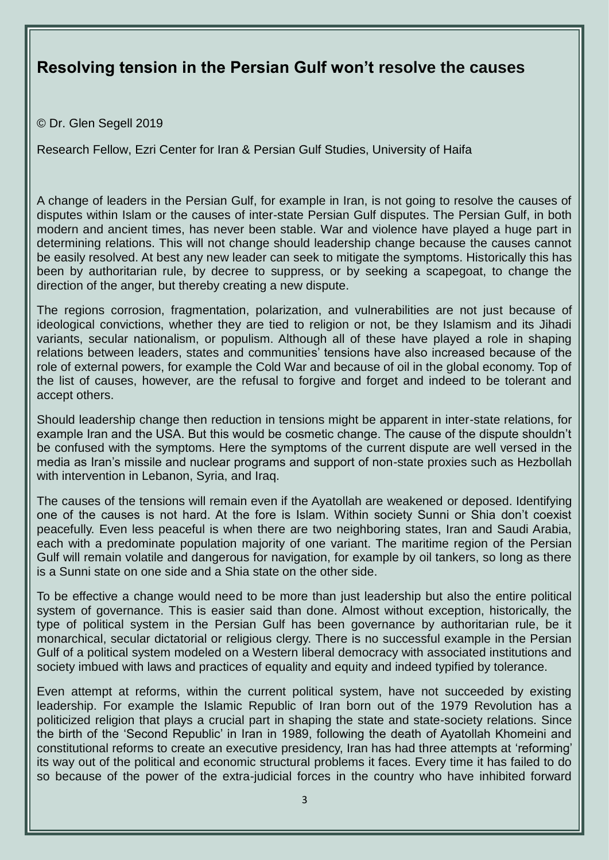## **Resolving tension in the Persian Gulf won't resolve the causes**

© Dr. Glen Segell 2019

Research Fellow, Ezri Center for Iran & Persian Gulf Studies, University of Haifa

A change of leaders in the Persian Gulf, for example in Iran, is not going to resolve the causes of disputes within Islam or the causes of inter-state Persian Gulf disputes. The Persian Gulf, in both modern and ancient times, has never been stable. War and violence have played a huge part in determining relations. This will not change should leadership change because the causes cannot be easily resolved. At best any new leader can seek to mitigate the symptoms. Historically this has been by authoritarian rule, by decree to suppress, or by seeking a scapegoat, to change the direction of the anger, but thereby creating a new dispute.

The regions corrosion, fragmentation, polarization, and vulnerabilities are not just because of ideological convictions, whether they are tied to religion or not, be they Islamism and its Jihadi variants, secular nationalism, or populism. Although all of these have played a role in shaping relations between leaders, states and communities' tensions have also increased because of the role of external powers, for example the Cold War and because of oil in the global economy. Top of the list of causes, however, are the refusal to forgive and forget and indeed to be tolerant and accept others.

Should leadership change then reduction in tensions might be apparent in inter-state relations, for example Iran and the USA. But this would be cosmetic change. The cause of the dispute shouldn't be confused with the symptoms. Here the symptoms of the current dispute are well versed in the media as Iran's missile and nuclear programs and support of non-state proxies such as Hezbollah with intervention in Lebanon, Syria, and Iraq.

The causes of the tensions will remain even if the Ayatollah are weakened or deposed. Identifying one of the causes is not hard. At the fore is Islam. Within society Sunni or Shia don't coexist peacefully. Even less peaceful is when there are two neighboring states, Iran and Saudi Arabia, each with a predominate population majority of one variant. The maritime region of the Persian Gulf will remain volatile and dangerous for navigation, for example by oil tankers, so long as there is a Sunni state on one side and a Shia state on the other side.

To be effective a change would need to be more than just leadership but also the entire political system of governance. This is easier said than done. Almost without exception, historically, the type of political system in the Persian Gulf has been governance by authoritarian rule, be it monarchical, secular dictatorial or religious clergy. There is no successful example in the Persian Gulf of a political system modeled on a Western liberal democracy with associated institutions and society imbued with laws and practices of equality and equity and indeed typified by tolerance.

Even attempt at reforms, within the current political system, have not succeeded by existing leadership. For example the Islamic Republic of Iran born out of the 1979 Revolution has a politicized religion that plays a crucial part in shaping the state and state-society relations. Since the birth of the 'Second Republic' in Iran in 1989, following the death of Ayatollah Khomeini and constitutional reforms to create an executive presidency, Iran has had three attempts at 'reforming' its way out of the political and economic structural problems it faces. Every time it has failed to do so because of the power of the extra-judicial forces in the country who have inhibited forward